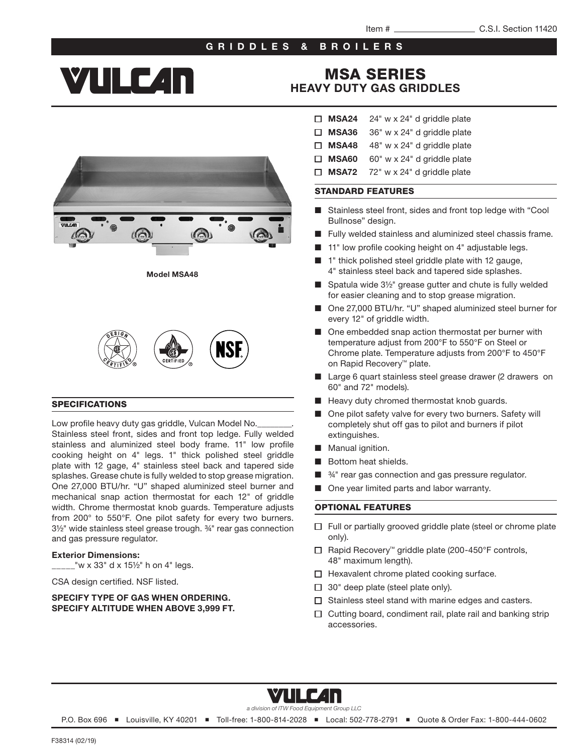### GRIDDLES & BROILERS

# **YIILE 4n**

## MSA SERIES [HEAVY DUTY GAS GRIDDLES](http://www.vulcanequipment.com/Products/MSA-Series-Gas-Flat-Top-Griddles-Grills/)

Model MSA48



#### SPECIFICATIONS

Low profile heavy duty gas griddle, Vulcan Model No. Stainless steel front, sides and front top ledge. Fully welded stainless and aluminized steel body frame. 11" low profile cooking height on 4" legs. 1" thick polished steel griddle plate with 12 gage, 4" stainless steel back and tapered side splashes. Grease chute is fully welded to stop grease migration. One 27,000 BTU/hr. "U" shaped aluminized steel burner and mechanical snap action thermostat for each 12" of griddle width. Chrome thermostat knob guards. Temperature adjusts from 200° to 550°F. One pilot safety for every two burners. 3½" wide stainless steel grease trough. ¾" rear gas connection and gas pressure regulator.

#### Exterior Dimensions:

 $2^{\prime\prime}$  w x 33" d x 15½" h on 4" legs.

CSA design certified. NSF listed.

#### SPECIFY TYPE OF GAS WHEN ORDERING. SPECIFY ALTITUDE WHEN ABOVE 3,999 FT.

- $\Box$  MSA24 24" w x 24" d griddle plate
- $\Box$  MSA36 36" w x 24" d griddle plate
- $\Box$  MSA48 48" w x 24" d griddle plate
- $\Box$  MSA60 60" w x 24" d griddle plate
- $\Box$  MSA72 72" w x 24" d griddle plate

#### STANDARD FEATURES

- Stainless steel front, sides and front top ledge with "Cool" Bullnose" design.
- Fully welded stainless and aluminized steel chassis frame.
- 11" low profile cooking height on 4" adjustable legs.
- 1" thick polished steel griddle plate with 12 gauge, 4" stainless steel back and tapered side splashes.
- Spatula wide 3½" grease gutter and chute is fully welded for easier cleaning and to stop grease migration.
- One 27,000 BTU/hr. "U" shaped aluminized steel burner for every 12" of griddle width.
- One embedded snap action thermostat per burner with temperature adjust from 200°F to 550°F on Steel or Chrome plate. Temperature adjusts from 200°F to 450°F on Rapid Recovery™ plate.
- Large 6 quart stainless steel grease drawer (2 drawers on 60" and 72" models).
- Heavy duty chromed thermostat knob guards.
- One pilot safety valve for every two burners. Safety will completely shut off gas to pilot and burners if pilot extinguishes.
- Manual ignition.
- Bottom heat shields.
- $%$  %<sup>1</sup>" rear gas connection and gas pressure regulator.
- One year limited parts and labor warranty.

#### OPTIONAL FEATURES

- $\Box$  Full or partially grooved griddle plate (steel or chrome plate only).
- Rapid Recovery™ griddle plate (200-450°F controls, 48" maximum length).
- $\Box$  Hexavalent chrome plated cooking surface.
- $\Box$  30" deep plate (steel plate only).
- $\Box$  Stainless steel stand with marine edges and casters.
- $\Box$  Cutting board, condiment rail, plate rail and banking strip accessories.